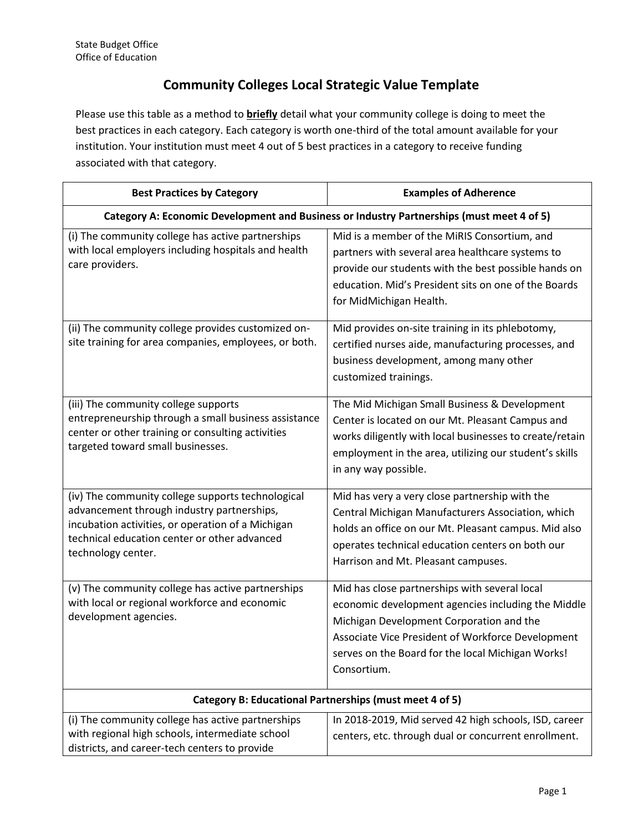## **Community Colleges Local Strategic Value Template**

Please use this table as a method to **briefly** detail what your community college is doing to meet the best practices in each category. Each category is worth one-third of the total amount available for your institution. Your institution must meet 4 out of 5 best practices in a category to receive funding associated with that category.

| <b>Best Practices by Category</b>                                                                                                                                                                                          | <b>Examples of Adherence</b>                                                                                                                                                                                                                                             |
|----------------------------------------------------------------------------------------------------------------------------------------------------------------------------------------------------------------------------|--------------------------------------------------------------------------------------------------------------------------------------------------------------------------------------------------------------------------------------------------------------------------|
| Category A: Economic Development and Business or Industry Partnerships (must meet 4 of 5)                                                                                                                                  |                                                                                                                                                                                                                                                                          |
| (i) The community college has active partnerships<br>with local employers including hospitals and health<br>care providers.                                                                                                | Mid is a member of the MiRIS Consortium, and<br>partners with several area healthcare systems to<br>provide our students with the best possible hands on<br>education. Mid's President sits on one of the Boards<br>for MidMichigan Health.                              |
| (ii) The community college provides customized on-<br>site training for area companies, employees, or both.                                                                                                                | Mid provides on-site training in its phlebotomy,<br>certified nurses aide, manufacturing processes, and<br>business development, among many other<br>customized trainings.                                                                                               |
| (iii) The community college supports<br>entrepreneurship through a small business assistance<br>center or other training or consulting activities<br>targeted toward small businesses.                                     | The Mid Michigan Small Business & Development<br>Center is located on our Mt. Pleasant Campus and<br>works diligently with local businesses to create/retain<br>employment in the area, utilizing our student's skills<br>in any way possible.                           |
| (iv) The community college supports technological<br>advancement through industry partnerships,<br>incubation activities, or operation of a Michigan<br>technical education center or other advanced<br>technology center. | Mid has very a very close partnership with the<br>Central Michigan Manufacturers Association, which<br>holds an office on our Mt. Pleasant campus. Mid also<br>operates technical education centers on both our<br>Harrison and Mt. Pleasant campuses.                   |
| (v) The community college has active partnerships<br>with local or regional workforce and economic<br>development agencies.                                                                                                | Mid has close partnerships with several local<br>economic development agencies including the Middle<br>Michigan Development Corporation and the<br>Associate Vice President of Workforce Development<br>serves on the Board for the local Michigan Works!<br>Consortium. |
| Category B: Educational Partnerships (must meet 4 of 5)                                                                                                                                                                    |                                                                                                                                                                                                                                                                          |
| (i) The community college has active partnerships<br>with regional high schools, intermediate school<br>districts, and career-tech centers to provide                                                                      | In 2018-2019, Mid served 42 high schools, ISD, career<br>centers, etc. through dual or concurrent enrollment.                                                                                                                                                            |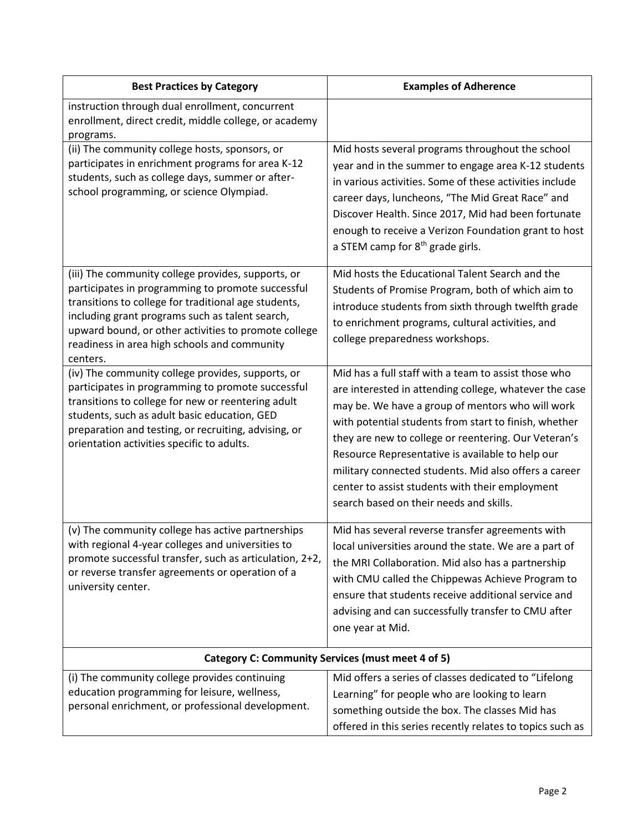| <b>Best Practices by Category</b>                                                                                                                                                                                                                                                                                                      | <b>Examples of Adherence</b>                                                                                                                                                                                                                                                                                                                                                                                                                                                                   |
|----------------------------------------------------------------------------------------------------------------------------------------------------------------------------------------------------------------------------------------------------------------------------------------------------------------------------------------|------------------------------------------------------------------------------------------------------------------------------------------------------------------------------------------------------------------------------------------------------------------------------------------------------------------------------------------------------------------------------------------------------------------------------------------------------------------------------------------------|
| instruction through dual enrollment, concurrent<br>enrollment, direct credit, middle college, or academy<br>programs.                                                                                                                                                                                                                  |                                                                                                                                                                                                                                                                                                                                                                                                                                                                                                |
| (ii) The community college hosts, sponsors, or<br>participates in enrichment programs for area K-12<br>students, such as college days, summer or after-<br>school programming, or science Olympiad.                                                                                                                                    | Mid hosts several programs throughout the school<br>year and in the summer to engage area K-12 students<br>in various activities. Some of these activities include<br>career days, luncheons, "The Mid Great Race" and<br>Discover Health. Since 2017, Mid had been fortunate<br>enough to receive a Verizon Foundation grant to host<br>a STEM camp for 8 <sup>th</sup> grade girls.                                                                                                          |
| (iii) The community college provides, supports, or<br>participates in programming to promote successful<br>transitions to college for traditional age students,<br>including grant programs such as talent search,<br>upward bound, or other activities to promote college<br>readiness in area high schools and community<br>centers. | Mid hosts the Educational Talent Search and the<br>Students of Promise Program, both of which aim to<br>introduce students from sixth through twelfth grade<br>to enrichment programs, cultural activities, and<br>college preparedness workshops.                                                                                                                                                                                                                                             |
| (iv) The community college provides, supports, or<br>participates in programming to promote successful<br>transitions to college for new or reentering adult<br>students, such as adult basic education, GED<br>preparation and testing, or recruiting, advising, or<br>orientation activities specific to adults.                     | Mid has a full staff with a team to assist those who<br>are interested in attending college, whatever the case<br>may be. We have a group of mentors who will work<br>with potential students from start to finish, whether<br>they are new to college or reentering. Our Veteran's<br>Resource Representative is available to help our<br>military connected students. Mid also offers a career<br>center to assist students with their employment<br>search based on their needs and skills. |
| (v) The community college has active partnerships<br>with regional 4-year colleges and universities to<br>promote successful transfer, such as articulation, 2+2,<br>or reverse transfer agreements or operation of a<br>university center.                                                                                            | Mid has several reverse transfer agreements with<br>local universities around the state. We are a part of<br>the MRI Collaboration. Mid also has a partnership<br>with CMU called the Chippewas Achieve Program to<br>ensure that students receive additional service and<br>advising and can successfully transfer to CMU after<br>one year at Mid.                                                                                                                                           |
| Category C: Community Services (must meet 4 of 5)                                                                                                                                                                                                                                                                                      |                                                                                                                                                                                                                                                                                                                                                                                                                                                                                                |
| (i) The community college provides continuing<br>education programming for leisure, wellness,<br>personal enrichment, or professional development.                                                                                                                                                                                     | Mid offers a series of classes dedicated to "Lifelong<br>Learning" for people who are looking to learn<br>something outside the box. The classes Mid has<br>offered in this series recently relates to topics such as                                                                                                                                                                                                                                                                          |